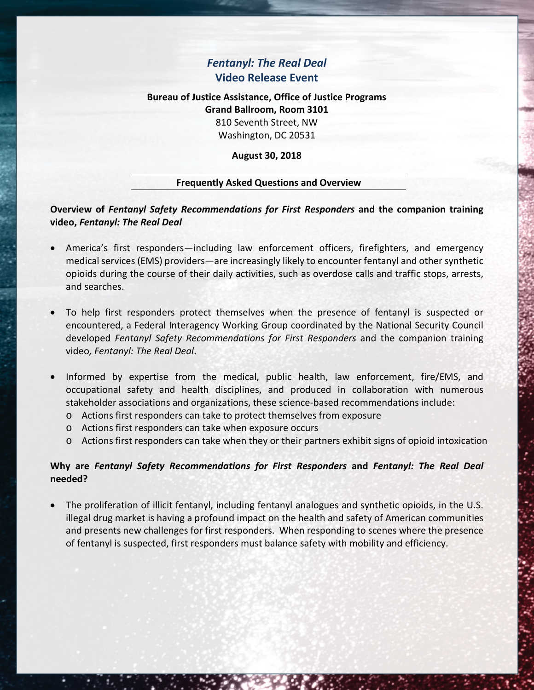# *Fentanyl: The Real Deal* **Video Release Event**

# **Bureau of Justice Assistance, Office of Justice Programs Grand Ballroom, Room 3101** 810 Seventh Street, NW Washington, DC 20531

### **August 30, 2018**

### **Frequently Asked Questions and Overview**

**Overview of** *Fentanyl Safety Recommendations for First Responders* **and the companion training video,** *Fentanyl: The Real Deal*

- America's first responders—including law enforcement officers, firefighters, and emergency medical services (EMS) providers—are increasingly likely to encounter fentanyl and other synthetic opioids during the course of their daily activities, such as overdose calls and traffic stops, arrests, and searches.
- To help first responders protect themselves when the presence of fentanyl is suspected or encountered, a Federal Interagency Working Group coordinated by the National Security Council developed *Fentanyl Safety Recommendations for First Responders* and the companion training video*, Fentanyl: The Real Deal*.
- Informed by expertise from the medical, public health, law enforcement, fire/EMS, and occupational safety and health disciplines, and produced in collaboration with numerous stakeholder associations and organizations, these science-based recommendations include:
	- o Actions first responders can take to protect themselves from exposure
	- o Actions first responders can take when exposure occurs
	- o Actions first responders can take when they or their partners exhibit signs of opioid intoxication

### **Why are** *Fentanyl Safety Recommendations for First Responders* **and** *Fentanyl: The Real Deal* **needed?**

• The proliferation of illicit fentanyl, including fentanyl analogues and synthetic opioids, in the U.S. illegal drug market is having a profound impact on the health and safety of American communities and presents new challenges for first responders. When responding to scenes where the presence of fentanyl is suspected, first responders must balance safety with mobility and efficiency.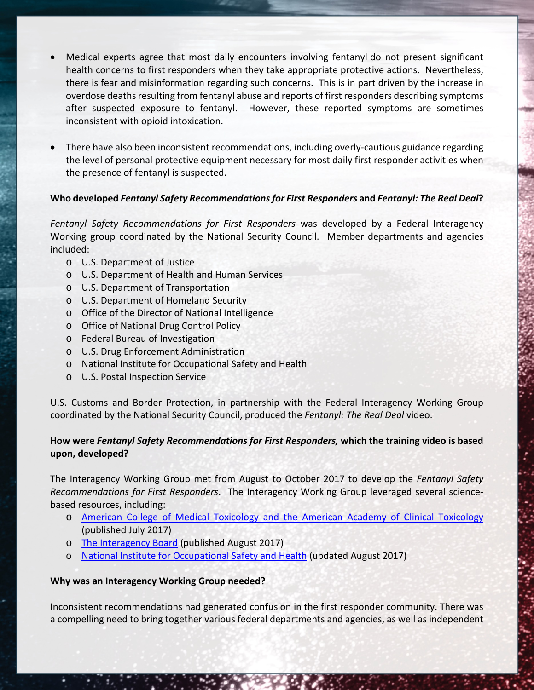- Medical experts agree that most daily encounters involving fentanyl do not present significant health concerns to first responders when they take appropriate protective actions. Nevertheless, there is fear and misinformation regarding such concerns. This is in part driven by the increase in overdose deaths resulting from fentanyl abuse and reports of first responders describing symptoms after suspected exposure to fentanyl. However, these reported symptoms are sometimes inconsistent with opioid intoxication.
- There have also been inconsistent recommendations, including overly-cautious guidance regarding the level of personal protective equipment necessary for most daily first responder activities when the presence of fentanyl is suspected.

## **Who developed** *Fentanyl Safety Recommendations for First Responders* **and** *Fentanyl: The Real Deal***?**

*Fentanyl Safety Recommendations for First Responders* was developed by a Federal Interagency Working group coordinated by the National Security Council. Member departments and agencies included:

- o U.S. Department of Justice
- o U.S. Department of Health and Human Services
- o U.S. Department of Transportation
- o U.S. Department of Homeland Security
- o Office of the Director of National Intelligence
- o Office of National Drug Control Policy
- o Federal Bureau of Investigation
- o U.S. Drug Enforcement Administration
- o National Institute for Occupational Safety and Health
- o U.S. Postal Inspection Service

U.S. Customs and Border Protection, in partnership with the Federal Interagency Working Group coordinated by the National Security Council, produced the *Fentanyl: The Real Deal* video.

# **How were** *Fentanyl Safety Recommendations for First Responders,* **which the training video is based upon, developed?**

The Interagency Working Group met from August to October 2017 to develop the *Fentanyl Safety Recommendations for First Responders*. The Interagency Working Group leveraged several sciencebased resources, including:

- o [American College of Medical Toxicology and the American Academy of Clinical Toxicology](https://www.acmt.net/cgi/page.cgi/_zine.html/The_ACMT_Connection/ACMT_Statement_on_Fentanyl_Exposure) (published July 2017)
- o [The Interagency Board](https://www.interagencyboard.org/sites/default/files/publications/IAB%20First%20Responder%20PPE%20and%20Decontamination%20Recommendations%20for%20Fentanyl.pdf) (published August 2017)
- o [National Institute for Occupational Safety and Health](https://www.cdc.gov/niosh/topics/fentanyl/risk.html) (updated August 2017)

### **Why was an Interagency Working Group needed?**

Inconsistent recommendations had generated confusion in the first responder community. There was a compelling need to bring together various federal departments and agencies, as well as independent